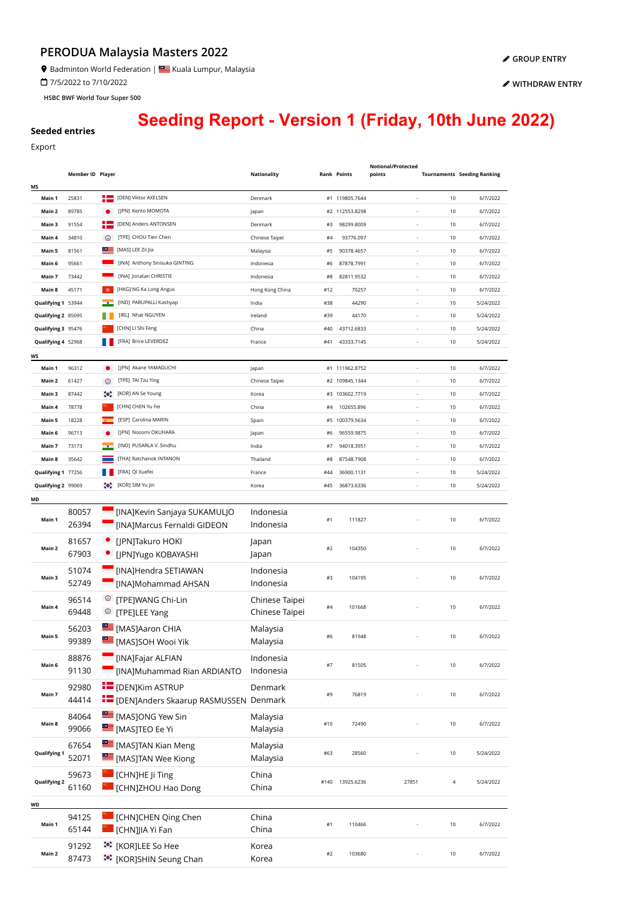## **PERODUA Malaysia Masters 2022**

**9** Badminton World Federation | **Star** Kuala Lumpur, Malaysia

7/5/2022 to 7/10/2022

**HSBC BWF World Tour Super 500**

**[WITHDRAW ENTRY](https://bwf.tournamentsoftware.com/sport/entry_management.aspx?id=EE44BEB4-66E3-4303-A3FB-2445388DDEF4)**

## **Seeding Report - Version 1 (Friday, 10th June 2022)**

## **Seeded entries**

[Export](javascript:__doPostBack()

|                     | Member ID Player |           |                                                   | <b>Nationality</b> |      | <b>Rank Points</b> | Notional/Protected<br>points |      | <b>Tournaments</b> Seeding Ranking |
|---------------------|------------------|-----------|---------------------------------------------------|--------------------|------|--------------------|------------------------------|------|------------------------------------|
| MS<br>Main 1        | 25831            | H 2       | [DEN] Viktor AXELSEN                              | Denmark            |      | #1 119805.7644     | ä,                           | 10   | 6/7/2022                           |
| Main 2              | 89785            |           | [JPN] Kento MOMOTA                                | Japan              |      | #2 112553.8298     |                              | 10   | 6/7/2022                           |
| Main 3              | 91554            |           | [DEN] Anders ANTONSEN                             | Denmark            | #3   | 98299.8009         |                              | 10   | 6/7/2022                           |
| Main 4              | 34810            | ☜         | [TPE] CHOU Tien Chen                              | Chinese Taipei     | #4   | 93776.097          |                              | 10   | 6/7/2022                           |
|                     |                  | ≌≝        | [MAS] LEE Zii Jia                                 |                    |      |                    |                              |      |                                    |
| Main 5              | 81561            |           |                                                   | Malaysia           | #5   | 90378.4657         |                              | 10   | 6/7/2022                           |
| Main 6              | 95661            |           | [INA] Anthony Sinisuka GINTING                    | Indonesia          | #6   | 87878.7991         | $\overline{\phantom{a}}$     | 10   | 6/7/2022                           |
| Main 7              | 73442            |           | [INA] Jonatan CHRISTIE                            | Indonesia          | #8   | 82811.9532         | $\overline{\phantom{a}}$     | 10   | 6/7/2022                           |
| Main 8              | 45171            | 赤         | [HKG] NG Ka Long Angus                            | Hong Kong China    | #12  | 70257              | $\overline{\phantom{a}}$     | 10   | 6/7/2022                           |
| Qualifying 1 53944  |                  |           | [IND] PARUPALLI Kashyap                           | India              | #38  | 44290              | $\overline{\phantom{a}}$     | 10   | 5/24/2022                          |
| Qualifying 2 85095  |                  |           | [IRL] Nhat NGUYEN                                 | Ireland            | #39  | 44170              | ä,                           | 10   | 5/24/2022                          |
| Qualifying 3 95476  |                  |           | [CHN] LI Shi Feng                                 | China              | #40  | 43712.6833         | i,                           | 10   | 5/24/2022                          |
| Qualifying 4 52968  |                  |           | [FRA] Brice LEVERDEZ                              | France             | #41  | 43333.7145         | ÷,                           | 10   | 5/24/2022                          |
| ws                  |                  |           |                                                   |                    |      |                    |                              |      |                                    |
| Main 1              | 96312            |           | [JPN] Akane YAMAGUCHI                             | Japan              |      | #1 111962.8752     |                              | 10   | 6/7/2022                           |
| Main 2              | 61427            | ⊛         | [TPE] TAI Tzu Ying                                | Chinese Taipei     |      | #2 109845.1344     | ÷,                           | 10   | 6/7/2022                           |
| Main 3              | 87442            | $\bullet$ | [KOR] AN Se Young                                 | Korea              |      | #3 103602.7719     | ÷,                           | 10   | 6/7/2022                           |
| Main 4              | 78778            |           | [CHN] CHEN Yu Fei                                 | China              | #4   | 102655.896         | i,                           | 10   | 6/7/2022                           |
| Main 5              | 18228            |           | [ESP] Carolina MARIN                              | Spain              |      | #5 100379.5634     | i,                           | 10   | 6/7/2022                           |
| Main 6              | 96713            |           | [JPN] Nozomi OKUHARA                              | Japan              | #6   | 96559.9875         | $\overline{\phantom{a}}$     | 10   | 6/7/2022                           |
| Main 7              | 73173            |           | [IND] PUSARLA V. Sindhu                           | India              | #7   | 94018.3951         | $\overline{\phantom{a}}$     | 10   | 6/7/2022                           |
| Main 8              | 35642            |           | [THA] Ratchanok INTANON                           | Thailand           | #8   | 87548.7908         | $\overline{\phantom{a}}$     | 10   | 6/7/2022                           |
| Qualifying 1 77256  |                  |           | [FRA] QI Xuefei                                   | France             | #44  | 36900.1131         | $\overline{\phantom{a}}$     | 10   | 5/24/2022                          |
| Qualifying 2 99069  |                  |           | (C) [KOR] SIM Yu Jin                              | Korea              | #45  | 36873.6336         | ä,                           | 10   | 5/24/2022                          |
| ΜD                  |                  |           |                                                   |                    |      |                    |                              |      |                                    |
|                     | 80057            |           | [INA]Kevin Sanjaya SUKAMULJO                      | Indonesia          |      |                    |                              |      |                                    |
| Main 1              | 26394            |           | [INA]Marcus Fernaldi GIDEON                       | Indonesia          | #1   | 111827             |                              | 10   | 6/7/2022                           |
|                     |                  |           |                                                   |                    |      |                    |                              |      |                                    |
| Main 2              | 81657            |           | • [JPN]Takuro HOKI                                | Japan              | #2   | 104350             |                              | 10   | 6/7/2022                           |
|                     | 67903            |           | • [JPN]Yugo KOBAYASHI                             | Japan              |      |                    |                              |      |                                    |
|                     | 51074            |           | [INA]Hendra SETIAWAN                              | Indonesia          |      |                    |                              |      |                                    |
| Main 3              | 52749            |           | [INA]Mohammad AHSAN                               | Indonesia          | #3   | 104195             |                              | 10   | 6/7/2022                           |
|                     | 96514            |           | <sup>©</sup> [TPE]WANG Chi-Lin                    | Chinese Taipei     |      |                    |                              |      |                                    |
| Main 4              | 69448            |           | <sup><sup>®</sup> [TPE]LEE Yang</sup>             | Chinese Taipei     | #4   | 101668             |                              | 10   | 6/7/2022                           |
|                     |                  |           |                                                   |                    |      |                    |                              |      |                                    |
| Main 5              | 56203            |           | [MAS]Aaron CHIA                                   | Malaysia           | #6   | 81948              |                              | 10   | 6/7/2022                           |
|                     | 99389            |           | MASJSOH Wooi Yik                                  | Malaysia           |      |                    |                              |      |                                    |
|                     | 88876            |           | [INA]Fajar ALFIAN                                 | Indonesia          |      |                    |                              |      |                                    |
| Main 6              | 91130            |           | [INA]Muhammad Rian ARDIANTO                       | Indonesia          | #7   | 81505              |                              | 10   | 6/7/2022                           |
|                     | 92980            |           | <b>E</b> [DEN]Kim ASTRUP                          | Denmark            |      |                    |                              |      |                                    |
| Main 7              | 44414            |           | <b>IDEN</b> [DEN]Anders Skaarup RASMUSSEN Denmark |                    | #9   | 76819              |                              | $10$ | 6/7/2022                           |
|                     |                  |           |                                                   |                    |      |                    |                              |      |                                    |
| Main 8              | 84064            |           | MASJONG Yew Sin                                   | Malaysia           | #10  | 72490              |                              | $10$ | 6/7/2022                           |
|                     | 99066            |           | <b>SEE</b> [MAS]TEO Ee Yi                         | Malaysia           |      |                    |                              |      |                                    |
|                     | 67654            |           | [MAS]TAN Kian Meng                                | Malaysia           |      |                    |                              |      |                                    |
| Qualifying 1        | 52071            |           | MASJTAN Wee Kiong                                 | Malaysia           | #63  | 28560              |                              | 10   | 5/24/2022                          |
|                     | 59673            |           | [CHN]HE Ji Ting                                   | China              |      |                    |                              |      |                                    |
| <b>Qualifying 2</b> | 61160            |           |                                                   | China              | #140 | 13925.6236         | 27851                        | 4    | 5/24/2022                          |
|                     |                  |           | [CHN]ZHOU Hao Dong                                |                    |      |                    |                              |      |                                    |
| WD                  |                  |           |                                                   |                    |      |                    |                              |      |                                    |
| Main 1              | 94125            |           | [CHN]CHEN Qing Chen                               | China              | #1   | 110466             |                              | 10   | 6/7/2022                           |
|                     | 65144            |           | [CHN]JIA Yi Fan                                   | China              |      |                    |                              |      |                                    |
|                     | 91292            |           | ं•ें [KOR]LEE So Hee                              | Korea              |      |                    |                              |      |                                    |
| Main 2              | 87473            |           | :•: [KOR]SHIN Seung Chan                          | Korea              | #2   | 103680             |                              | 10   | 6/7/2022                           |